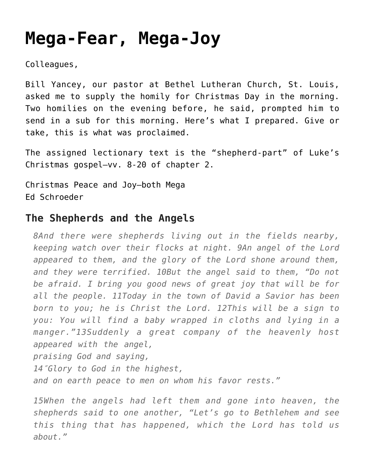## **[Mega-Fear, Mega-Joy](https://crossings.org/mega-fear-mega-joy/)**

Colleagues,

Bill Yancey, our pastor at Bethel Lutheran Church, St. Louis, asked me to supply the homily for Christmas Day in the morning. Two homilies on the evening before, he said, prompted him to send in a sub for this morning. Here's what I prepared. Give or take, this is what was proclaimed.

The assigned lectionary text is the "shepherd-part" of Luke's Christmas gospel–vv. 8-20 of chapter 2.

Christmas Peace and Joy–both Mega Ed Schroeder

## **The Shepherds and the Angels**

*8And there were shepherds living out in the fields nearby, keeping watch over their flocks at night. 9An angel of the Lord appeared to them, and the glory of the Lord shone around them, and they were terrified. 10But the angel said to them, "Do not be afraid. I bring you good news of great joy that will be for all the people. 11Today in the town of David a Savior has been born to you; he is Christ the Lord. 12This will be a sign to you: You will find a baby wrapped in cloths and lying in a manger."13Suddenly a great company of the heavenly host appeared with the angel, praising God and saying, 14″Glory to God in the highest,*

*and on earth peace to men on whom his favor rests."*

*15When the angels had left them and gone into heaven, the shepherds said to one another, "Let's go to Bethlehem and see this thing that has happened, which the Lord has told us about."*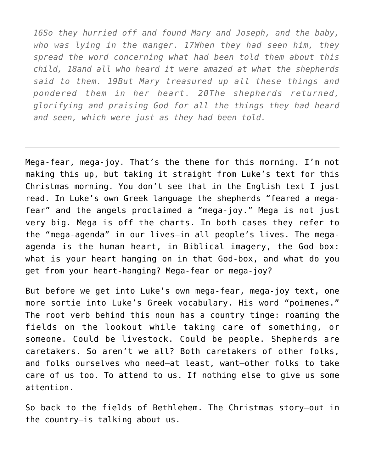*16So they hurried off and found Mary and Joseph, and the baby, who was lying in the manger. 17When they had seen him, they spread the word concerning what had been told them about this child, 18and all who heard it were amazed at what the shepherds said to them. 19But Mary treasured up all these things and pondered them in her heart. 20The shepherds returned, glorifying and praising God for all the things they had heard and seen, which were just as they had been told.*

Mega-fear, mega-joy. That's the theme for this morning. I'm not making this up, but taking it straight from Luke's text for this Christmas morning. You don't see that in the English text I just read. In Luke's own Greek language the shepherds "feared a megafear" and the angels proclaimed a "mega-joy." Mega is not just very big. Mega is off the charts. In both cases they refer to the "mega-agenda" in our lives–in all people's lives. The megaagenda is the human heart, in Biblical imagery, the God-box: what is your heart hanging on in that God-box, and what do you get from your heart-hanging? Mega-fear or mega-joy?

But before we get into Luke's own mega-fear, mega-joy text, one more sortie into Luke's Greek vocabulary. His word "poimenes." The root verb behind this noun has a country tinge: roaming the fields on the lookout while taking care of something, or someone. Could be livestock. Could be people. Shepherds are caretakers. So aren't we all? Both caretakers of other folks, and folks ourselves who need–at least, want–other folks to take care of us too. To attend to us. If nothing else to give us some attention.

So back to the fields of Bethlehem. The Christmas story–out in the country–is talking about us.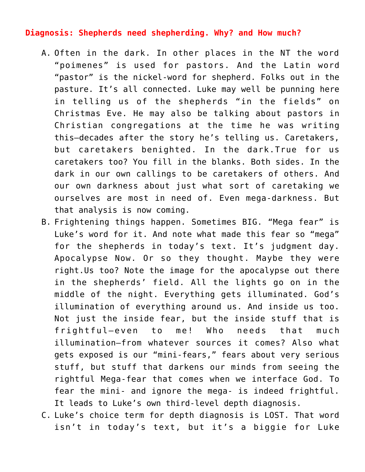## **Diagnosis: Shepherds need shepherding. Why? and How much?**

- A. Often in the dark. In other places in the NT the word "poimenes" is used for pastors. And the Latin word "pastor" is the nickel-word for shepherd. Folks out in the pasture. It's all connected. Luke may well be punning here in telling us of the shepherds "in the fields" on Christmas Eve. He may also be talking about pastors in Christian congregations at the time he was writing this–decades after the story he's telling us. Caretakers, but caretakers benighted. In the dark.True for us caretakers too? You fill in the blanks. Both sides. In the dark in our own callings to be caretakers of others. And our own darkness about just what sort of caretaking we ourselves are most in need of. Even mega-darkness. But that analysis is now coming.
- B. Frightening things happen. Sometimes BIG. "Mega fear" is Luke's word for it. And note what made this fear so "mega" for the shepherds in today's text. It's judgment day. Apocalypse Now. Or so they thought. Maybe they were right.Us too? Note the image for the apocalypse out there in the shepherds' field. All the lights go on in the middle of the night. Everything gets illuminated. God's illumination of everything around us. And inside us too. Not just the inside fear, but the inside stuff that is frightful–even to me! Who needs that much illumination–from whatever sources it comes? Also what gets exposed is our "mini-fears," fears about very serious stuff, but stuff that darkens our minds from seeing the rightful Mega-fear that comes when we interface God. To fear the mini- and ignore the mega- is indeed frightful. It leads to Luke's own third-level depth diagnosis.
- C. Luke's choice term for depth diagnosis is LOST. That word isn't in today's text, but it's a biggie for Luke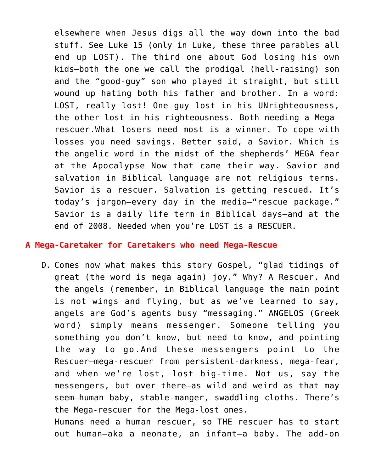elsewhere when Jesus digs all the way down into the bad stuff. See Luke 15 (only in Luke, these three parables all end up LOST). The third one about God losing his own kids–both the one we call the prodigal (hell-raising) son and the "good-guy" son who played it straight, but still wound up hating both his father and brother. In a word: LOST, really lost! One guy lost in his UNrighteousness, the other lost in his righteousness. Both needing a Megarescuer.What losers need most is a winner. To cope with losses you need savings. Better said, a Savior. Which is the angelic word in the midst of the shepherds' MEGA fear at the Apocalypse Now that came their way. Savior and salvation in Biblical language are not religious terms. Savior is a rescuer. Salvation is getting rescued. It's today's jargon–every day in the media–"rescue package." Savior is a daily life term in Biblical days–and at the end of 2008. Needed when you're LOST is a RESCUER.

## **A Mega-Caretaker for Caretakers who need Mega-Rescue**

D. Comes now what makes this story Gospel, "glad tidings of great (the word is mega again) joy." Why? A Rescuer. And the angels (remember, in Biblical language the main point is not wings and flying, but as we've learned to say, angels are God's agents busy "messaging." ANGELOS (Greek word) simply means messenger. Someone telling you something you don't know, but need to know, and pointing the way to go.And these messengers point to the Rescuer–mega-rescuer from persistent-darkness, mega-fear, and when we're lost, lost big-time. Not us, say the messengers, but over there–as wild and weird as that may seem–human baby, stable-manger, swaddling cloths. There's the Mega-rescuer for the Mega-lost ones.

Humans need a human rescuer, so THE rescuer has to start out human–aka a neonate, an infant–a baby. The add-on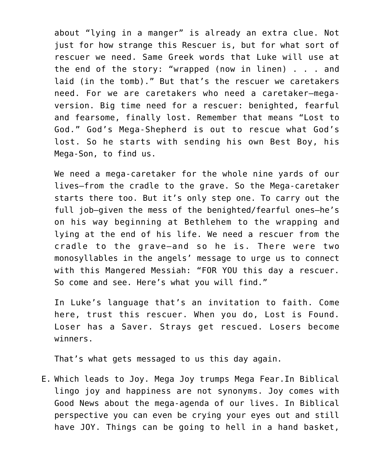about "lying in a manger" is already an extra clue. Not just for how strange this Rescuer is, but for what sort of rescuer we need. Same Greek words that Luke will use at the end of the story: "wrapped (now in linen) . . . and laid (in the tomb)." But that's the rescuer we caretakers need. For we are caretakers who need a caretaker–megaversion. Big time need for a rescuer: benighted, fearful and fearsome, finally lost. Remember that means "Lost to God." God's Mega-Shepherd is out to rescue what God's lost. So he starts with sending his own Best Boy, his Mega-Son, to find us.

We need a mega-caretaker for the whole nine yards of our lives–from the cradle to the grave. So the Mega-caretaker starts there too. But it's only step one. To carry out the full job–given the mess of the benighted/fearful ones–he's on his way beginning at Bethlehem to the wrapping and lying at the end of his life. We need a rescuer from the cradle to the grave–and so he is. There were two monosyllables in the angels' message to urge us to connect with this Mangered Messiah: "FOR YOU this day a rescuer. So come and see. Here's what you will find."

In Luke's language that's an invitation to faith. Come here, trust this rescuer. When you do, Lost is Found. Loser has a Saver. Strays get rescued. Losers become winners.

That's what gets messaged to us this day again.

E. Which leads to Joy. Mega Joy trumps Mega Fear.In Biblical lingo joy and happiness are not synonyms. Joy comes with Good News about the mega-agenda of our lives. In Biblical perspective you can even be crying your eyes out and still have JOY. Things can be going to hell in a hand basket,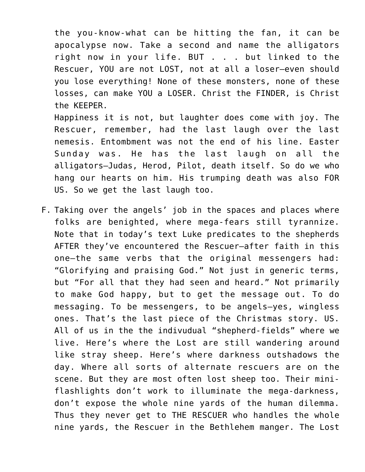the you-know-what can be hitting the fan, it can be apocalypse now. Take a second and name the alligators right now in your life. BUT . . . but linked to the Rescuer, YOU are not LOST, not at all a loser–even should you lose everything! None of these monsters, none of these losses, can make YOU a LOSER. Christ the FINDER, is Christ the KEEPER.

Happiness it is not, but laughter does come with joy. The Rescuer, remember, had the last laugh over the last nemesis. Entombment was not the end of his line. Easter Sunday was. He has the last laugh on all the alligators–Judas, Herod, Pilot, death itself. So do we who hang our hearts on him. His trumping death was also FOR US. So we get the last laugh too.

F. Taking over the angels' job in the spaces and places where folks are benighted, where mega-fears still tyrannize. Note that in today's text Luke predicates to the shepherds AFTER they've encountered the Rescuer–after faith in this one–the same verbs that the original messengers had: "Glorifying and praising God." Not just in generic terms, but "For all that they had seen and heard." Not primarily to make God happy, but to get the message out. To do messaging. To be messengers, to be angels–yes, wingless ones. That's the last piece of the Christmas story. US. All of us in the the indivudual "shepherd-fields" where we live. Here's where the Lost are still wandering around like stray sheep. Here's where darkness outshadows the day. Where all sorts of alternate rescuers are on the scene. But they are most often lost sheep too. Their miniflashlights don't work to illuminate the mega-darkness, don't expose the whole nine yards of the human dilemma. Thus they never get to THE RESCUER who handles the whole nine yards, the Rescuer in the Bethlehem manger. The Lost